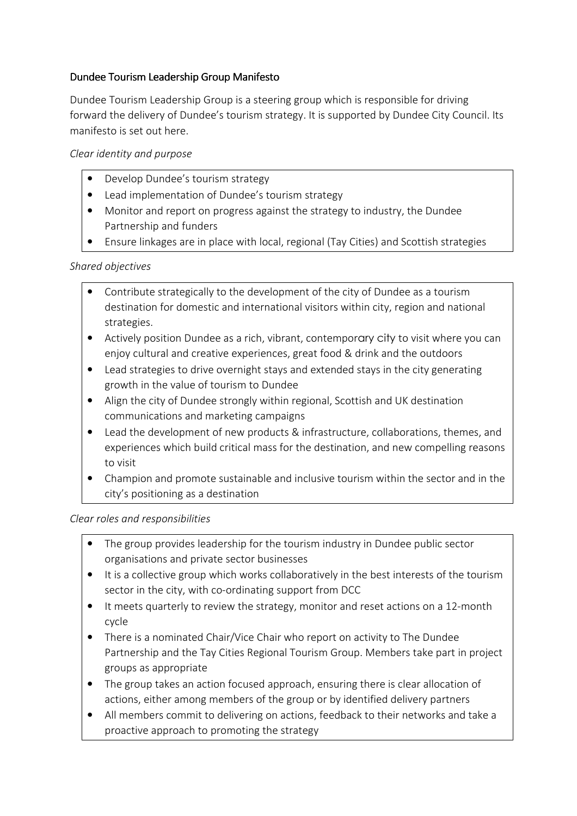## Dundee Tourism Leadership Group Manifesto

Dundee Tourism Leadership Group is a steering group which is responsible for driving forward the delivery of Dundee's tourism strategy. It is supported by Dundee City Council. Its manifesto is set out here.

Clear identity and purpose

- Develop Dundee's tourism strategy
- Lead implementation of Dundee's tourism strategy
- Monitor and report on progress against the strategy to industry, the Dundee Partnership and funders
- Ensure linkages are in place with local, regional (Tay Cities) and Scottish strategies

Shared objectives

- Contribute strategically to the development of the city of Dundee as a tourism destination for domestic and international visitors within city, region and national strategies.
- Actively position Dundee as a rich, vibrant, contemporary city to visit where you can enjoy cultural and creative experiences, great food & drink and the outdoors
- Lead strategies to drive overnight stays and extended stays in the city generating growth in the value of tourism to Dundee
- Align the city of Dundee strongly within regional, Scottish and UK destination communications and marketing campaigns
- Lead the development of new products & infrastructure, collaborations, themes, and experiences which build critical mass for the destination, and new compelling reasons to visit
- Champion and promote sustainable and inclusive tourism within the sector and in the city's positioning as a destination

Clear roles and responsibilities

- The group provides leadership for the tourism industry in Dundee public sector organisations and private sector businesses
- It is a collective group which works collaboratively in the best interests of the tourism sector in the city, with co-ordinating support from DCC
- It meets quarterly to review the strategy, monitor and reset actions on a 12-month cycle
- There is a nominated Chair/Vice Chair who report on activity to The Dundee Partnership and the Tay Cities Regional Tourism Group. Members take part in project groups as appropriate
- The group takes an action focused approach, ensuring there is clear allocation of actions, either among members of the group or by identified delivery partners
- All members commit to delivering on actions, feedback to their networks and take a proactive approach to promoting the strategy